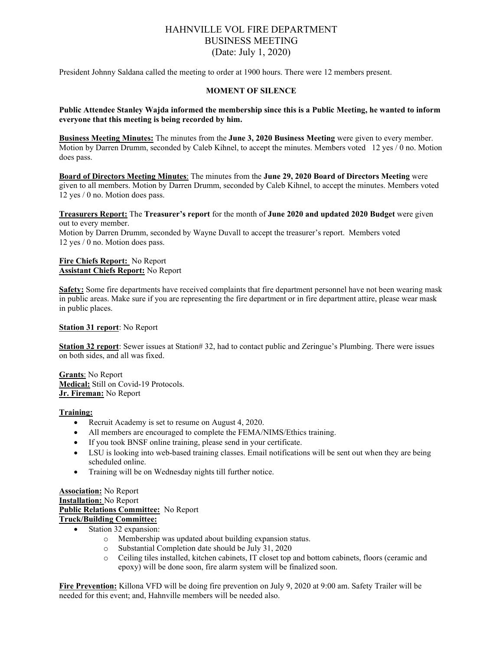# HAHNVILLE VOL FIRE DEPARTMENT BUSINESS MEETING (Date: July 1, 2020)

President Johnny Saldana called the meeting to order at 1900 hours. There were 12 members present.

## **MOMENT OF SILENCE**

#### **Public Attendee Stanley Wajda informed the membership since this is a Public Meeting, he wanted to inform everyone that this meeting is being recorded by him.**

**Business Meeting Minutes:** The minutes from the **June 3, 2020 Business Meeting** were given to every member. Motion by Darren Drumm, seconded by Caleb Kihnel, to accept the minutes. Members voted 12 yes / 0 no. Motion does pass.

**Board of Directors Meeting Minutes**: The minutes from the **June 29, 2020 Board of Directors Meeting** were given to all members. Motion by Darren Drumm, seconded by Caleb Kihnel, to accept the minutes. Members voted 12 yes / 0 no. Motion does pass.

**Treasurers Report:** The **Treasurer's report** for the month of **June 2020 and updated 2020 Budget** were given out to every member.

Motion by Darren Drumm, seconded by Wayne Duvall to accept the treasurer's report. Members voted 12 yes / 0 no. Motion does pass.

#### **Fire Chiefs Report:** No Report **Assistant Chiefs Report:** No Report

**Safety:** Some fire departments have received complaints that fire department personnel have not been wearing mask in public areas. Make sure if you are representing the fire department or in fire department attire, please wear mask in public places.

**Station 31 report**: No Report

**Station 32 report**: Sewer issues at Station# 32, had to contact public and Zeringue's Plumbing. There were issues on both sides, and all was fixed.

**Grants**: No Report **Medical:** Still on Covid-19 Protocols. **Jr. Fireman:** No Report

#### **Training:**

- Recruit Academy is set to resume on August 4, 2020.
- All members are encouraged to complete the FEMA/NIMS/Ethics training.
- If you took BNSF online training, please send in your certificate.
- LSU is looking into web-based training classes. Email notifications will be sent out when they are being scheduled online.
- Training will be on Wednesday nights till further notice.

# **Association:** No Report **Installation:** No Report **Public Relations Committee:** No Report **Truck/Building Committee:**

- Station 32 expansion:
	- o Membership was updated about building expansion status.
	- $\circ$  Substantial Completion date should be July 31, 2020<br>  $\circ$  Ceiling tiles installed, kitchen cabinets, IT closet top
	- o Ceiling tiles installed, kitchen cabinets, IT closet top and bottom cabinets, floors (ceramic and epoxy) will be done soon, fire alarm system will be finalized soon.

**Fire Prevention:** Killona VFD will be doing fire prevention on July 9, 2020 at 9:00 am. Safety Trailer will be needed for this event; and, Hahnville members will be needed also.